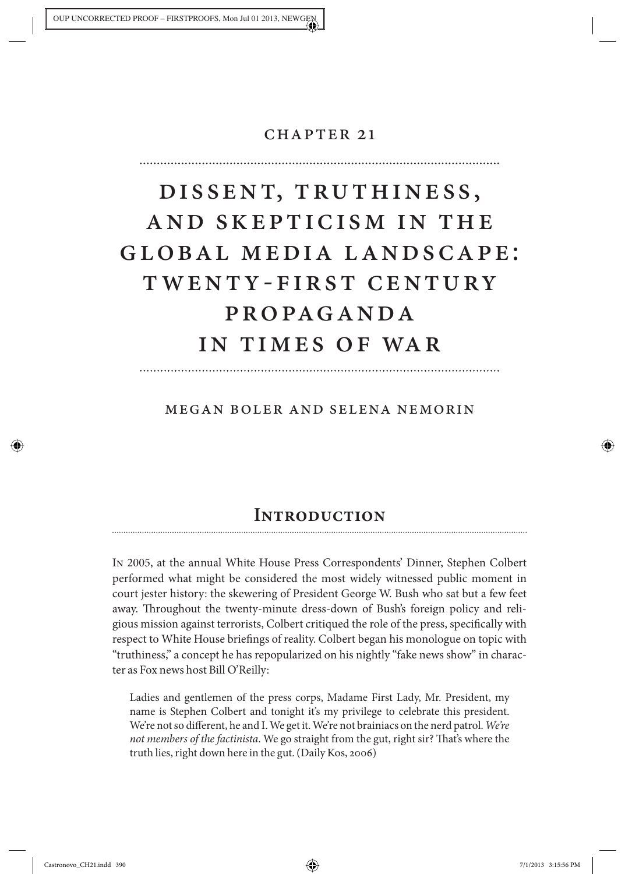### chapter 21

# DISSENT, TRUTHINESS, and skepticism in the global media l andscape: t went y-first century propaganda in times of war

megan boler and selena nemorin

### **Introduction**

 In 2005, at the annual White House Press Correspondents' Dinner, Stephen Colbert performed what might be considered the most widely witnessed public moment in court jester history: the skewering of President George W. Bush who sat but a few feet away. Throughout the twenty-minute dress-down of Bush's foreign policy and religious mission against terrorists, Colbert critiqued the role of the press, specifically with respect to White House briefings of reality. Colbert began his monologue on topic with "truthiness," a concept he has repopularized on his nightly "fake news show" in character as Fox news host Bill O'Reilly:

 Ladies and gentlemen of the press corps, Madame First Lady, Mr. President, my name is Stephen Colbert and tonight it's my privilege to celebrate this president. We're not so different, he and I. We get it. We're not brainiacs on the nerd patrol. We're *not members of the factinista*. We go straight from the gut, right sir? That's where the truth lies, right down here in the gut. (Daily Kos, 2006)

 $\bigoplus$  7/1/2013 3:15:56 PM 7/1/2013 3:15:56 PM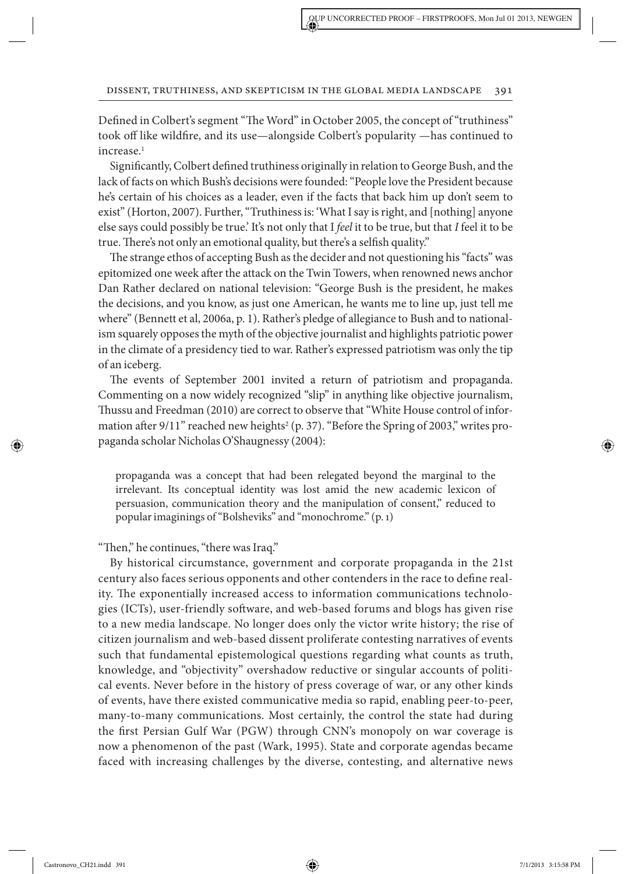Defined in Colbert's segment "The Word" in October 2005, the concept of "truthiness" took off like wildfire, and its use—alongside Colbert's popularity —has continued to increase.<sup>1</sup>

Significantly, Colbert defined truthiness originally in relation to George Bush, and the lack of facts on which Bush's decisions were founded: "People love the President because he's certain of his choices as a leader, even if the facts that back him up don't seem to exist" (Horton, 2007). Further, "Truthiness is: 'What I say is right, and [nothing] anyone else says could possibly be true.' It's not only that I *feel* it to be true, but that *I* feel it to be true. There's not only an emotional quality, but there's a selfish quality."

The strange ethos of accepting Bush as the decider and not questioning his "facts" was epitomized one week after the attack on the Twin Towers, when renowned news anchor Dan Rather declared on national television: "George Bush is the president, he makes the decisions, and you know, as just one American, he wants me to line up, just tell me where" (Bennett et al, 2006a, p. 1). Rather's pledge of allegiance to Bush and to nationalism squarely opposes the myth of the objective journalist and highlights patriotic power in the climate of a presidency tied to war. Rather's expressed patriotism was only the tip of an iceberg.

The events of September 2001 invited a return of patriotism and propaganda. Commenting on a now widely recognized "slip" in anything like objective journalism, Thussu and Freedman (2010) are correct to observe that "White House control of information after 9/11" reached new heights<sup>2</sup> (p. 37). "Before the Spring of 2003," writes propaganda scholar Nicholas O'Shaugnessy (2004) :

 propaganda was a concept that had been relegated beyond the marginal to the irrelevant. Its conceptual identity was lost amid the new academic lexicon of persuasion, communication theory and the manipulation of consent," reduced to popular imaginings of "Bolsheviks" and "monochrome." (p. 1)

#### "Then," he continues, "there was Iraq."

 By historical circumstance, government and corporate propaganda in the 21st century also faces serious opponents and other contenders in the race to define reality. The exponentially increased access to information communications technologies (ICTs), user-friendly software, and web-based forums and blogs has given rise to a new media landscape. No longer does only the victor write history; the rise of citizen journalism and web-based dissent proliferate contesting narratives of events such that fundamental epistemological questions regarding what counts as truth, knowledge, and "objectivity" overshadow reductive or singular accounts of political events. Never before in the history of press coverage of war, or any other kinds of events, have there existed communicative media so rapid, enabling peer-to-peer, many-to-many communications. Most certainly, the control the state had during the first Persian Gulf War (PGW) through CNN's monopoly on war coverage is now a phenomenon of the past ( Wark, 1995 ). State and corporate agendas became faced with increasing challenges by the diverse, contesting, and alternative news

↔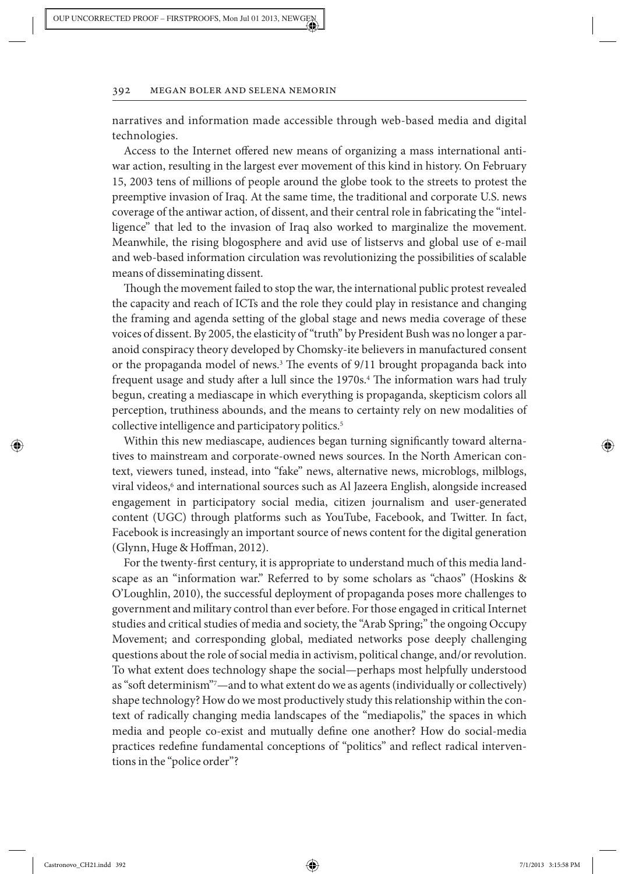narratives and information made accessible through web-based media and digital technologies.

Access to the Internet offered new means of organizing a mass international antiwar action, resulting in the largest ever movement of this kind in history. On February 15, 2003 tens of millions of people around the globe took to the streets to protest the preemptive invasion of Iraq. At the same time, the traditional and corporate U.S. news coverage of the antiwar action, of dissent, and their central role in fabricating the "intelligence" that led to the invasion of Iraq also worked to marginalize the movement. Meanwhile, the rising blogosphere and avid use of listservs and global use of e-mail and web-based information circulation was revolutionizing the possibilities of scalable means of disseminating dissent.

Though the movement failed to stop the war, the international public protest revealed the capacity and reach of ICTs and the role they could play in resistance and changing the framing and agenda setting of the global stage and news media coverage of these voices of dissent. By 2005, the elasticity of "truth" by President Bush was no longer a paranoid conspiracy theory developed by Chomsky-ite believers in manufactured consent or the propaganda model of news.<sup>3</sup> The events of 9/11 brought propaganda back into frequent usage and study after a lull since the 1970s.<sup>4</sup> The information wars had truly begun, creating a mediascape in which everything is propaganda, skepticism colors all perception, truthiness abounds, and the means to certainty rely on new modalities of collective intelligence and participatory politics. 5

Within this new mediascape, audiences began turning significantly toward alternatives to mainstream and corporate-owned news sources. In the North American context, viewers tuned, instead, into "fake" news, alternative news, microblogs, milblogs, viral videos,<sup>6</sup> and international sources such as Al Jazeera English, alongside increased engagement in participatory social media, citizen journalism and user-generated content (UGC) through platforms such as YouTube, Facebook, and Twitter. In fact, Facebook is increasingly an important source of news content for the digital generation (Glynn, Huge & Hoffman, 2012).

For the twenty-first century, it is appropriate to understand much of this media landscape as an "information war." Referred to by some scholars as "chaos" (Hoskins & O'Loughlin, 2010), the successful deployment of propaganda poses more challenges to government and military control than ever before. For those engaged in critical Internet studies and critical studies of media and society, the "Arab Spring;" the ongoing Occupy Movement; and corresponding global, mediated networks pose deeply challenging questions about the role of social media in activism, political change, and/or revolution. To what extent does technology shape the social—perhaps most helpfully understood as "soft determinism"<sup>7</sup>—and to what extent do we as agents (individually or collectively) shape technology? How do we most productively study this relationship within the context of radically changing media landscapes of the "mediapolis," the spaces in which media and people co-exist and mutually define one another? How do social-media practices redefine fundamental conceptions of "politics" and reflect radical interventions in the "police order"?

↔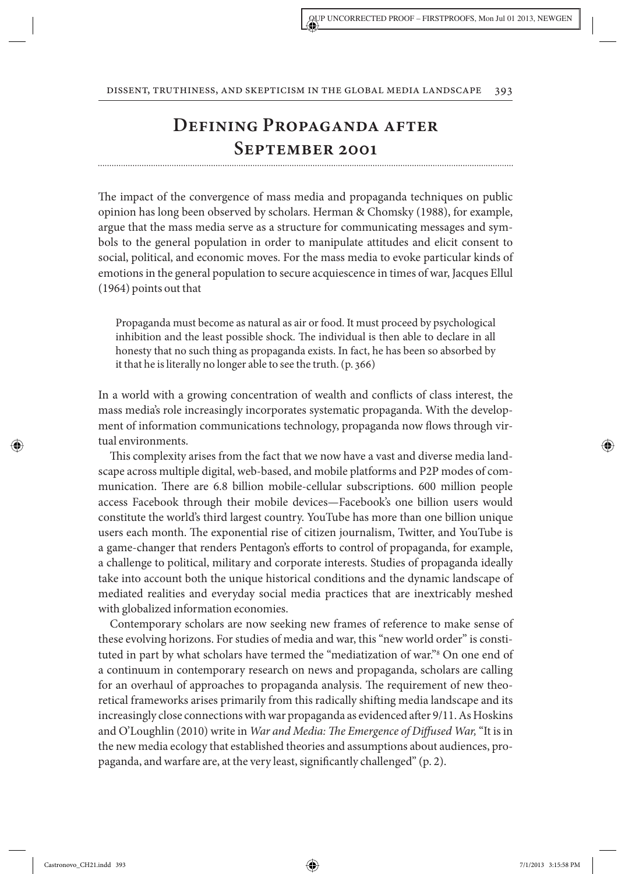# **Defining Propaganda after September 2001**

The impact of the convergence of mass media and propaganda techniques on public opinion has long been observed by scholars. Herman & Chomsky (1988) , for example, argue that the mass media serve as a structure for communicating messages and symbols to the general population in order to manipulate attitudes and elicit consent to social, political, and economic moves. For the mass media to evoke particular kinds of emotions in the general population to secure acquiescence in times of war, Jacques Ellul (1964) points out that

 Propaganda must become as natural as air or food. It must proceed by psychological inhibition and the least possible shock. The individual is then able to declare in all honesty that no such thing as propaganda exists. In fact, he has been so absorbed by it that he is literally no longer able to see the truth. (p. 366)

In a world with a growing concentration of wealth and conflicts of class interest, the mass media's role increasingly incorporates systematic propaganda. With the development of information communications technology, propaganda now flows through virtual environments.

This complexity arises from the fact that we now have a vast and diverse media landscape across multiple digital, web-based, and mobile platforms and P2P modes of communication. There are 6.8 billion mobile-cellular subscriptions. 600 million people access Facebook through their mobile devices—Facebook's one billion users would constitute the world's third largest country. YouTube has more than one billion unique users each month. The exponential rise of citizen journalism, Twitter, and YouTube is a game-changer that renders Pentagon's efforts to control of propaganda, for example, a challenge to political, military and corporate interests. Studies of propaganda ideally take into account both the unique historical conditions and the dynamic landscape of mediated realities and everyday social media practices that are inextricably meshed with globalized information economies.

 Contemporary scholars are now seeking new frames of reference to make sense of these evolving horizons. For studies of media and war, this "new world order" is constituted in part by what scholars have termed the "mediatization of war." 8 On one end of a continuum in contemporary research on news and propaganda, scholars are calling for an overhaul of approaches to propaganda analysis. The requirement of new theoretical frameworks arises primarily from this radically shifting media landscape and its increasingly close connections with war propaganda as evidenced after 9/11. As Hoskins and O'Loughlin (2010) write in *War and Media: The Emergence of Diffused War*, "It is in the new media ecology that established theories and assumptions about audiences, propaganda, and warfare are, at the very least, significantly challenged" (p. 2).

 $\bigoplus$  astronovo\_CH21.indd 393 7/1/2013 3:15:58 PM /1/2013 3:15:58 PM /1/2013 1:15:58 PM /1/2013 1:15:58 PM /1/2013 1:15:58 PM /1/2013 1:15:58 PM /1/2013 1:15:58 PM /1/2013 1:15:58 PM /1/2013 1:15:58 PM /1/2013 1:15:58 PM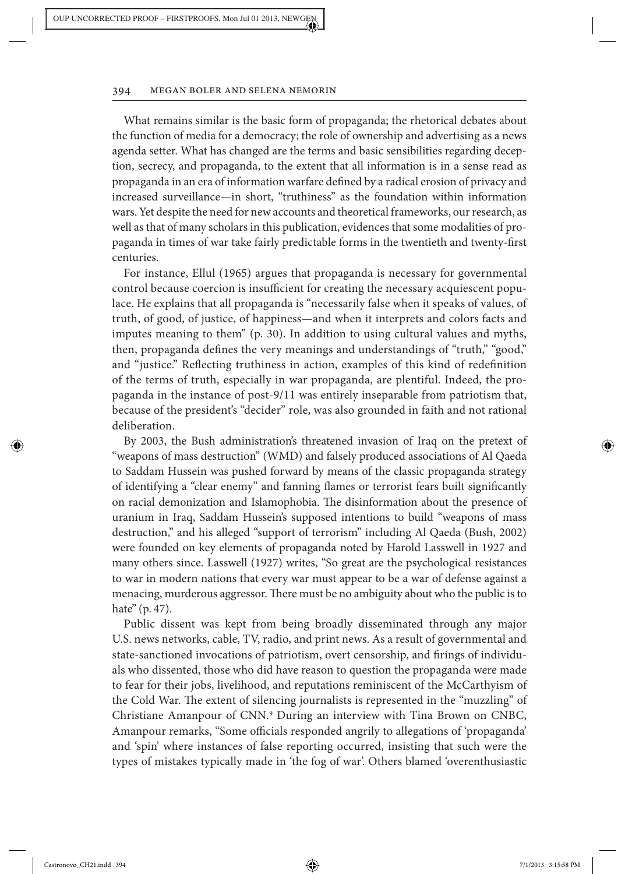What remains similar is the basic form of propaganda; the rhetorical debates about the function of media for a democracy; the role of ownership and advertising as a news agenda setter. What has changed are the terms and basic sensibilities regarding deception, secrecy, and propaganda, to the extent that all information is in a sense read as propaganda in an era of information warfare defined by a radical erosion of privacy and increased surveillance—in short, "truthiness" as the foundation within information wars. Yet despite the need for new accounts and theoretical frameworks, our research, as well as that of many scholars in this publication, evidences that some modalities of propaganda in times of war take fairly predictable forms in the twentieth and twenty-first centuries.

 For instance, Ellul (1965) argues that propaganda is necessary for governmental control because coercion is insufficient for creating the necessary acquiescent populace. He explains that all propaganda is "necessarily false when it speaks of values, of truth, of good, of justice, of happiness—and when it interprets and colors facts and imputes meaning to them" (p. 30). In addition to using cultural values and myths, then, propaganda defines the very meanings and understandings of "truth," "good," and "justice." Reflecting truthiness in action, examples of this kind of redefinition of the terms of truth, especially in war propaganda, are plentiful. Indeed, the propaganda in the instance of post-9/11 was entirely inseparable from patriotism that, because of the president's "decider" role, was also grounded in faith and not rational deliberation.

 By 2003, the Bush administration's threatened invasion of Iraq on the pretext of "weapons of mass destruction" (WMD) and falsely produced associations of Al Qaeda to Saddam Hussein was pushed forward by means of the classic propaganda strategy of identifying a "clear enemy" and fanning flames or terrorist fears built significantly on racial demonization and Islamophobia. The disinformation about the presence of uranium in Iraq, Saddam Hussein's supposed intentions to build "weapons of mass destruction," and his alleged "support of terrorism" including Al Qaeda (Bush, 2002) were founded on key elements of propaganda noted by Harold Lasswell in 1927 and many others since. Lasswell (1927) writes, "So great are the psychological resistances to war in modern nations that every war must appear to be a war of defense against a menacing, murderous aggressor. There must be no ambiguity about who the public is to hate" (p. 47).

 Public dissent was kept from being broadly disseminated through any major U.S. news networks, cable, TV, radio, and print news. As a result of governmental and state-sanctioned invocations of patriotism, overt censorship, and firings of individuals who dissented, those who did have reason to question the propaganda were made to fear for their jobs, livelihood, and reputations reminiscent of the McCarthyism of the Cold War. The extent of silencing journalists is represented in the "muzzling" of Christiane Amanpour of CNN.<sup>9</sup> During an interview with Tina Brown on CNBC, Amanpour remarks, "Some officials responded angrily to allegations of 'propaganda' and 'spin' where instances of false reporting occurred, insisting that such were the types of mistakes typically made in 'the fog of war'. Others blamed 'overenthusiastic

⊕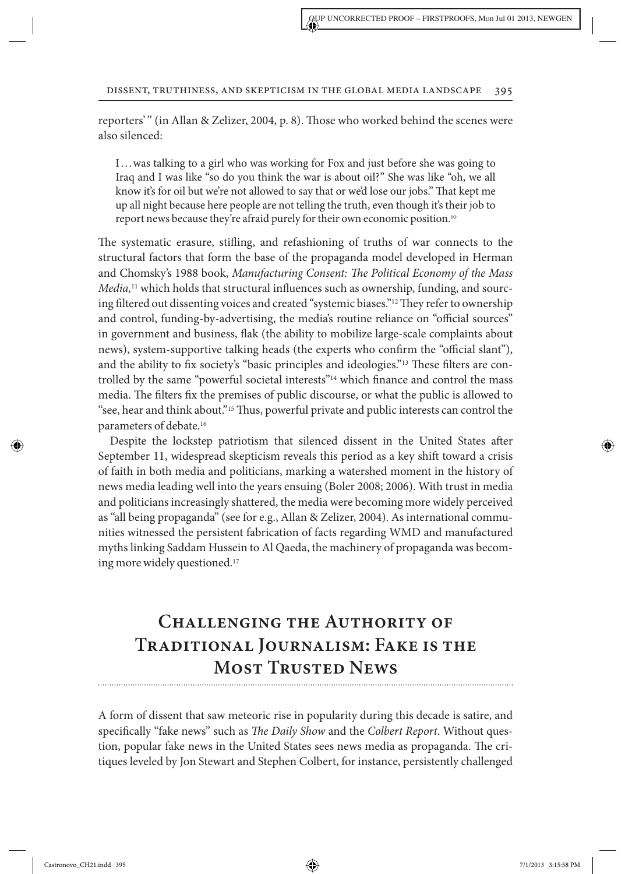reporters'" (in Allan & Zelizer, 2004, p. 8). Those who worked behind the scenes were also silenced:

 I . . . was talking to a girl who was working for Fox and just before she was going to Iraq and I was like "so do you think the war is about oil?" She was like "oh, we all know it's for oil but we're not allowed to say that or we'd lose our jobs." That kept me up all night because here people are not telling the truth, even though it's their job to report news because they're afraid purely for their own economic position. 10

The systematic erasure, stifling, and refashioning of truths of war connects to the structural factors that form the base of the propaganda model developed in Herman and Chomsky's 1988 book, *Manufacturing Consent: The Political Economy of the Mass Media*,<sup>11</sup> which holds that structural influences such as ownership, funding, and sourcing filtered out dissenting voices and created "systemic biases."<sup>12</sup> They refer to ownership and control, funding-by-advertising, the media's routine reliance on "official sources" in government and business, flak (the ability to mobilize large-scale complaints about news), system-supportive talking heads (the experts who confirm the "official slant"), and the ability to fix society's "basic principles and ideologies."<sup>13</sup> These filters are controlled by the same "powerful societal interests"<sup>14</sup> which finance and control the mass media. The filters fix the premises of public discourse, or what the public is allowed to "see, hear and think about."<sup>15</sup> Thus, powerful private and public interests can control the parameters of debate. 16

Despite the lockstep patriotism that silenced dissent in the United States after September 11, widespread skepticism reveals this period as a key shift toward a crisis of faith in both media and politicians, marking a watershed moment in the history of news media leading well into the years ensuing (Boler 2008; 2006). With trust in media and politicians increasingly shattered, the media were becoming more widely perceived as "all being propaganda" (see for e.g., Allan & Zelizer, 2004 ). As international communities witnessed the persistent fabrication of facts regarding WMD and manufactured myths linking Saddam Hussein to Al Qaeda, the machinery of propaganda was becoming more widely questioned.<sup>17</sup>

# **Challenging the Authority of Traditional Journalism: Fake is the Most Trusted News**

 A form of dissent that saw meteoric rise in popularity during this decade is satire, and specifically "fake news" such as *The Daily Show* and the *Colbert Report*. Without question, popular fake news in the United States sees news media as propaganda. The critiques leveled by Jon Stewart and Stephen Colbert, for instance, persistently challenged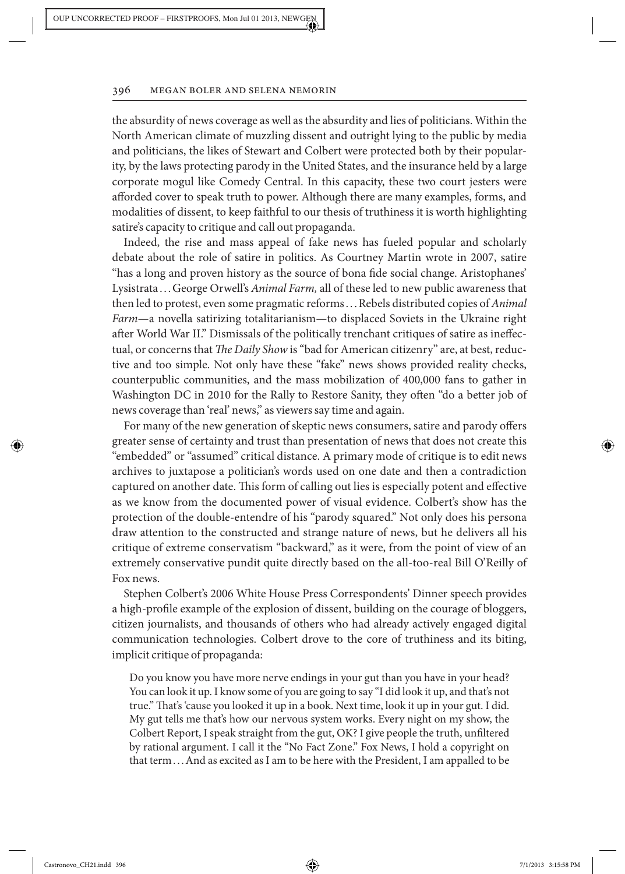the absurdity of news coverage as well as the absurdity and lies of politicians. Within the North American climate of muzzling dissent and outright lying to the public by media and politicians, the likes of Stewart and Colbert were protected both by their popularity, by the laws protecting parody in the United States, and the insurance held by a large corporate mogul like Comedy Central. In this capacity, these two court jesters were afforded cover to speak truth to power. Although there are many examples, forms, and modalities of dissent, to keep faithful to our thesis of truthiness it is worth highlighting satire's capacity to critique and call out propaganda.

 Indeed, the rise and mass appeal of fake news has fueled popular and scholarly debate about the role of satire in politics. As Courtney Martin wrote in 2007, satire "has a long and proven history as the source of bona fide social change. Aristophanes" Lysistrata... George Orwell's *Animal Farm*, all of these led to new public awareness that then led to protest, even some pragmatic reforms . . . Rebels distributed copies of *Animal Farm* —a novella satirizing totalitarianism—to displaced Soviets in the Ukraine right after World War II." Dismissals of the politically trenchant critiques of satire as ineffectual, or concerns that *The Daily Show* is "bad for American citizenry" are, at best, reductive and too simple. Not only have these "fake" news shows provided reality checks, counterpublic communities, and the mass mobilization of 400,000 fans to gather in Washington DC in 2010 for the Rally to Restore Sanity, they often "do a better job of news coverage than 'real' news," as viewers say time and again.

For many of the new generation of skeptic news consumers, satire and parody offers greater sense of certainty and trust than presentation of news that does not create this "embedded" or "assumed" critical distance. A primary mode of critique is to edit news archives to juxtapose a politician's words used on one date and then a contradiction captured on another date. This form of calling out lies is especially potent and effective as we know from the documented power of visual evidence. Colbert's show has the protection of the double-entendre of his "parody squared." Not only does his persona draw attention to the constructed and strange nature of news, but he delivers all his critique of extreme conservatism "backward," as it were, from the point of view of an extremely conservative pundit quite directly based on the all-too-real Bill O'Reilly of Fox news.

 Stephen Colbert's 2006 White House Press Correspondents' Dinner speech provides a high-profile example of the explosion of dissent, building on the courage of bloggers, citizen journalists, and thousands of others who had already actively engaged digital communication technologies. Colbert drove to the core of truthiness and its biting, implicit critique of propaganda:

 Do you know you have more nerve endings in your gut than you have in your head? You can look it up. I know some of you are going to say "I did look it up, and that's not true." That's 'cause you looked it up in a book. Next time, look it up in your gut. I did. My gut tells me that's how our nervous system works. Every night on my show, the Colbert Report, I speak straight from the gut, OK? I give people the truth, unfiltered by rational argument. I call it the "No Fact Zone." Fox News, I hold a copyright on that term . . . And as excited as I am to be here with the President, I am appalled to be

 $\bigoplus$  astronovo\_CH21.indd 396 7/1/2013 3:15:58 PM /1/2013 3:15:58 PM /1/2013 1:15:58 PM /1/2013 1:15:58 PM /1/2013 1:15:58 PM /1/2013 1:15:58 PM /1/2013 1:15:58 PM /1/2013 1:15:58 PM /1/2013 1:15:58 PM /1/2013 1:15:58 PM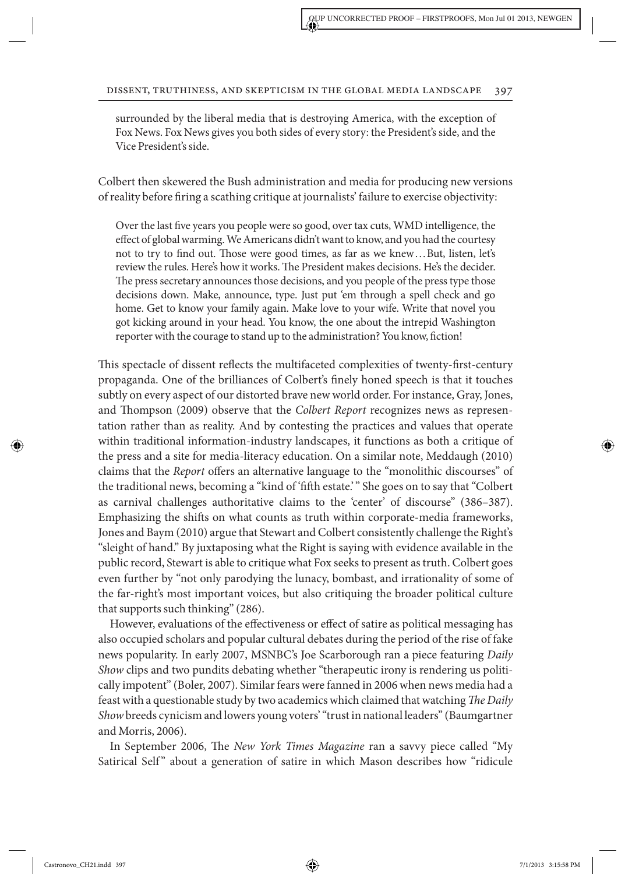surrounded by the liberal media that is destroying America, with the exception of Fox News. Fox News gives you both sides of every story: the President's side, and the Vice President's side.

 Colbert then skewered the Bush administration and media for producing new versions of reality before firing a scathing critique at journalists' failure to exercise objectivity:

Over the last five years you people were so good, over tax cuts, WMD intelligence, the effect of global warming. We Americans didn't want to know, and you had the courtesy not to try to find out. Those were good times, as far as we knew...But, listen, let's review the rules. Here's how it works. The President makes decisions. He's the decider. The press secretary announces those decisions, and you people of the press type those decisions down. Make, announce, type. Just put 'em through a spell check and go home. Get to know your family again. Make love to your wife. Write that novel you got kicking around in your head. You know, the one about the intrepid Washington reporter with the courage to stand up to the administration? You know, fiction!

This spectacle of dissent reflects the multifaceted complexities of twenty-first-century propaganda. One of the brilliances of Colbert's finely honed speech is that it touches subtly on every aspect of our distorted brave new world order. For instance, Gray, Jones, and Thompson (2009) observe that the *Colbert Report* recognizes news as representation rather than as reality. And by contesting the practices and values that operate within traditional information-industry landscapes, it functions as both a critique of the press and a site for media-literacy education. On a similar note, Meddaugh (2010) claims that the *Report* offers an alternative language to the "monolithic discourses" of the traditional news, becoming a "kind of 'fifth estate.'" She goes on to say that "Colbert" as carnival challenges authoritative claims to the 'center' of discourse" (386–387). Emphasizing the shifts on what counts as truth within corporate-media frameworks, Jones and Baym (2010) argue that Stewart and Colbert consistently challenge the Right's "sleight of hand." By juxtaposing what the Right is saying with evidence available in the public record, Stewart is able to critique what Fox seeks to present as truth. Colbert goes even further by "not only parodying the lunacy, bombast, and irrationality of some of the far-right's most important voices, but also critiquing the broader political culture that supports such thinking" (286).

However, evaluations of the effectiveness or effect of satire as political messaging has also occupied scholars and popular cultural debates during the period of the rise of fake news popularity. In early 2007, MSNBC's Joe Scarborough ran a piece featuring *Daily Show* clips and two pundits debating whether "therapeutic irony is rendering us politically impotent" ( Boler, 2007 ). Similar fears were fanned in 2006 when news media had a feast with a questionable study by two academics which claimed that watching *The Daily Show* breeds cynicism and lowers young voters' "trust in national leaders" ( Baumgartner and Morris, 2006).

In September 2006, The *New York Times Magazine* ran a savvy piece called "My Satirical Self" about a generation of satire in which Mason describes how "ridicule

 $\bigoplus$  astronovo\_CH21.indd 397 *7/1/2013* 3:15:58 PM *7/1/2013* 3:15:58 PM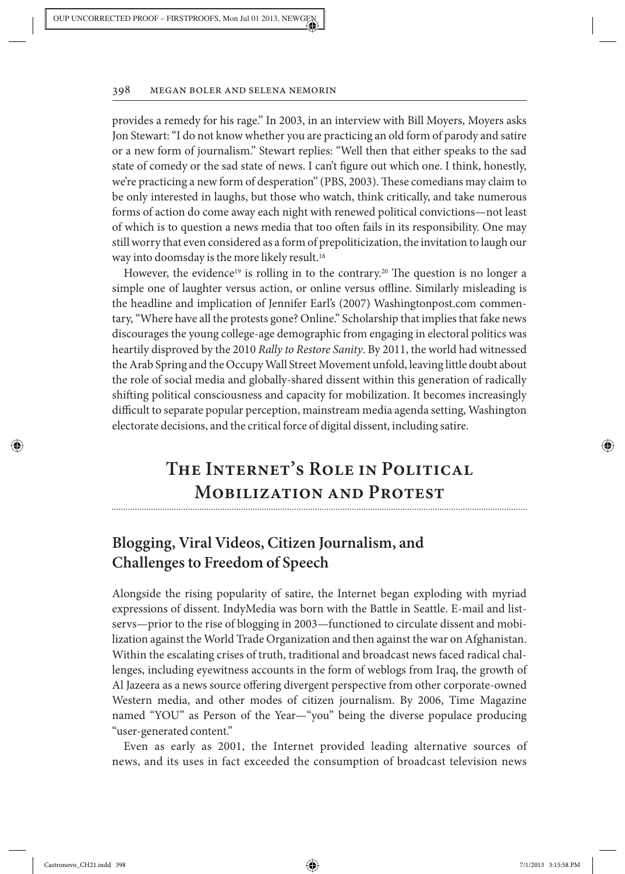provides a remedy for his rage." In 2003, in an interview with Bill Moyers, Moyers asks Jon Stewart: "I do not know whether you are practicing an old form of parody and satire or a new form of journalism." Stewart replies: "Well then that either speaks to the sad state of comedy or the sad state of news. I can't figure out which one. I think, honestly, we're practicing a new form of desperation" (PBS, 2003). These comedians may claim to be only interested in laughs, but those who watch, think critically, and take numerous forms of action do come away each night with renewed political convictions—not least of which is to question a news media that too often fails in its responsibility. One may still worry that even considered as a form of prepoliticization, the invitation to laugh our way into doomsday is the more likely result. 18

However, the evidence<sup>19</sup> is rolling in to the contrary.<sup>20</sup> The question is no longer a simple one of laughter versus action, or online versus offline. Similarly misleading is the headline and implication of Jennifer Earl's (2007) Washingtonpost.com commentary, "Where have all the protests gone? Online." Scholarship that implies that fake news discourages the young college-age demographic from engaging in electoral politics was heartily disproved by the 2010 *Rally to Restore Sanity* . By 2011, the world had witnessed the Arab Spring and the Occupy Wall Street Movement unfold, leaving little doubt about the role of social media and globally-shared dissent within this generation of radically shifting political consciousness and capacity for mobilization. It becomes increasingly difficult to separate popular perception, mainstream media agenda setting, Washington electorate decisions, and the critical force of digital dissent, including satire.

# **The Internet's Role in Political Mobilization and Protest**

# **Blogging, Viral Videos, Citizen Journalism, and Challenges to Freedom of Speech**

 Alongside the rising popularity of satire, the Internet began exploding with myriad expressions of dissent. IndyMedia was born with the Battle in Seattle. E-mail and listservs—prior to the rise of blogging in 2003—functioned to circulate dissent and mobilization against the World Trade Organization and then against the war on Afghanistan. Within the escalating crises of truth, traditional and broadcast news faced radical challenges, including eyewitness accounts in the form of weblogs from Iraq, the growth of Al Jazeera as a news source offering divergent perspective from other corporate-owned Western media, and other modes of citizen journalism. By 2006, Time Magazine named "YOU" as Person of the Year—"you" being the diverse populace producing "user-generated content."

 Even as early as 2001, the Internet provided leading alternative sources of news, and its uses in fact exceeded the consumption of broadcast television news

⊕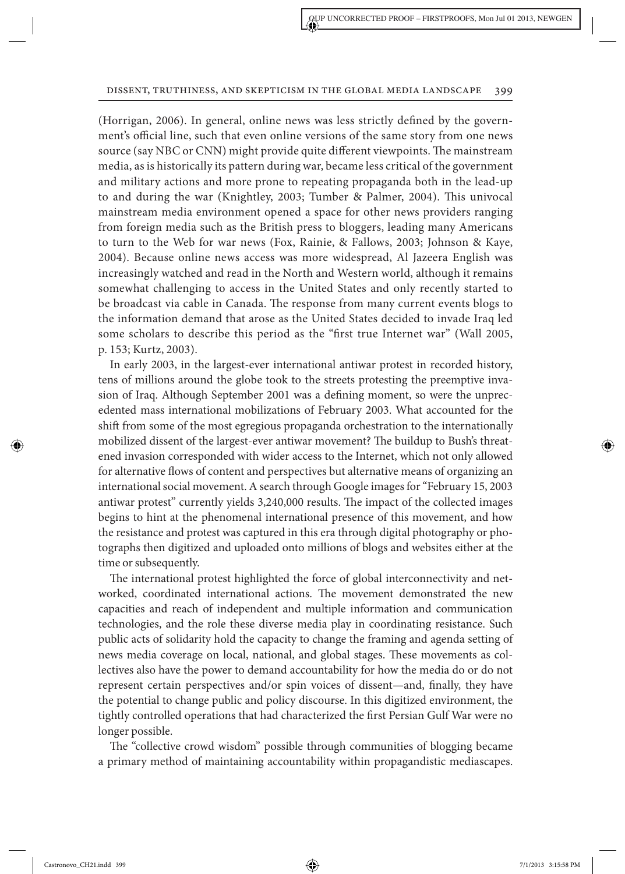(Horrigan, 2006). In general, online news was less strictly defined by the government's official line, such that even online versions of the same story from one news source (say NBC or CNN) might provide quite different viewpoints. The mainstream media, as is historically its pattern during war, became less critical of the government and military actions and more prone to repeating propaganda both in the lead-up to and during the war (Knightley, 2003; Tumber & Palmer, 2004). This univocal mainstream media environment opened a space for other news providers ranging from foreign media such as the British press to bloggers, leading many Americans to turn to the Web for war news (Fox, Rainie, & Fallows, 2003; Johnson & Kaye, 2004). Because online news access was more widespread, Al Jazeera English was increasingly watched and read in the North and Western world, although it remains somewhat challenging to access in the United States and only recently started to be broadcast via cable in Canada. The response from many current events blogs to the information demand that arose as the United States decided to invade Iraq led some scholars to describe this period as the "first true Internet war" (Wall 2005, p. 153; Kurtz, 2003 ).

 In early 2003, in the largest-ever international antiwar protest in recorded history, tens of millions around the globe took to the streets protesting the preemptive invasion of Iraq. Although September 2001 was a defining moment, so were the unprecedented mass international mobilizations of February 2003. What accounted for the shift from some of the most egregious propaganda orchestration to the internationally mobilized dissent of the largest-ever antiwar movement? The buildup to Bush's threatened invasion corresponded with wider access to the Internet, which not only allowed for alternative flows of content and perspectives but alternative means of organizing an international social movement. A search through Google images for "February 15, 2003 antiwar protest" currently yields 3,240,000 results. The impact of the collected images begins to hint at the phenomenal international presence of this movement, and how the resistance and protest was captured in this era through digital photography or photographs then digitized and uploaded onto millions of blogs and websites either at the time or subsequently.

The international protest highlighted the force of global interconnectivity and networked, coordinated international actions. The movement demonstrated the new capacities and reach of independent and multiple information and communication technologies, and the role these diverse media play in coordinating resistance. Such public acts of solidarity hold the capacity to change the framing and agenda setting of news media coverage on local, national, and global stages. These movements as collectives also have the power to demand accountability for how the media do or do not represent certain perspectives and/or spin voices of dissent—and, finally, they have the potential to change public and policy discourse. In this digitized environment, the tightly controlled operations that had characterized the first Persian Gulf War were no longer possible.

The "collective crowd wisdom" possible through communities of blogging became a primary method of maintaining accountability within propagandistic mediascapes.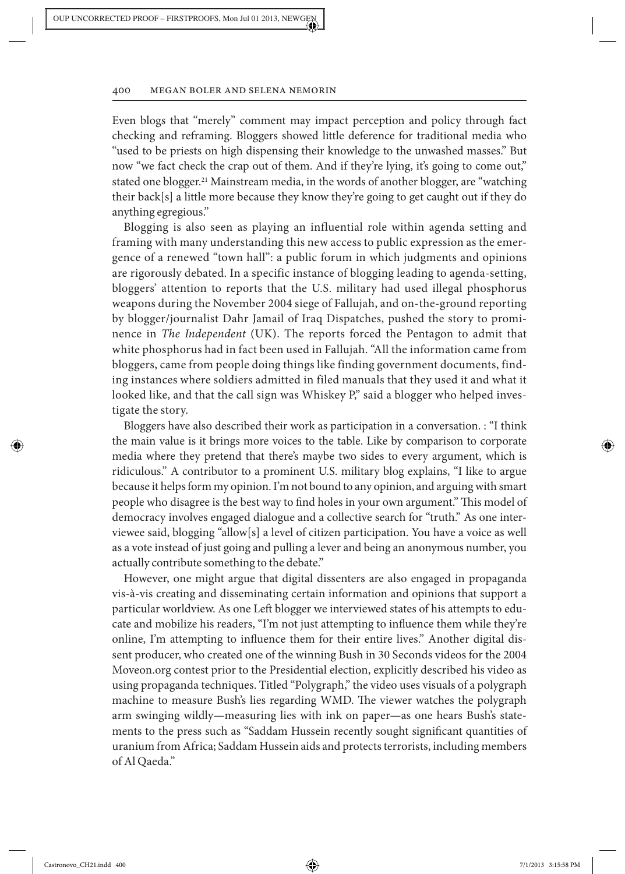Even blogs that "merely" comment may impact perception and policy through fact checking and reframing. Bloggers showed little deference for traditional media who "used to be priests on high dispensing their knowledge to the unwashed masses." But now "we fact check the crap out of them. And if they're lying, it's going to come out," stated one blogger.<sup>21</sup> Mainstream media, in the words of another blogger, are "watching their back[s] a little more because they know they're going to get caught out if they do anything egregious."

 Blogging is also seen as playing an influential role within agenda setting and framing with many understanding this new access to public expression as the emergence of a renewed "town hall": a public forum in which judgments and opinions are rigorously debated. In a specific instance of blogging leading to agenda-setting, bloggers' attention to reports that the U.S. military had used illegal phosphorus weapons during the November 2004 siege of Fallujah, and on-the-ground reporting by blogger/journalist Dahr Jamail of Iraq Dispatches, pushed the story to prominence in *The Independent* (UK). The reports forced the Pentagon to admit that white phosphorus had in fact been used in Fallujah. "All the information came from bloggers, came from people doing things like finding government documents, finding instances where soldiers admitted in filed manuals that they used it and what it looked like, and that the call sign was Whiskey P," said a blogger who helped investigate the story.

 Bloggers have also described their work as participation in a conversation. : "I think the main value is it brings more voices to the table. Like by comparison to corporate media where they pretend that there's maybe two sides to every argument, which is ridiculous." A contributor to a prominent U.S. military blog explains, "I like to argue because it helps form my opinion. I'm not bound to any opinion, and arguing with smart people who disagree is the best way to find holes in your own argument." This model of democracy involves engaged dialogue and a collective search for "truth." As one interviewee said, blogging "allow[s] a level of citizen participation. You have a voice as well as a vote instead of just going and pulling a lever and being an anonymous number, you actually contribute something to the debate."

 However, one might argue that digital dissenters are also engaged in propaganda vis-à-vis creating and disseminating certain information and opinions that support a particular worldview. As one Left blogger we interviewed states of his attempts to educate and mobilize his readers, "I'm not just attempting to influence them while they're online, I'm attempting to influence them for their entire lives." Another digital dissent producer, who created one of the winning Bush in 30 Seconds videos for the 2004 Moveon.org contest prior to the Presidential election, explicitly described his video as using propaganda techniques. Titled "Polygraph," the video uses visuals of a polygraph machine to measure Bush's lies regarding WMD. The viewer watches the polygraph arm swinging wildly—measuring lies with ink on paper—as one hears Bush's statements to the press such as "Saddam Hussein recently sought significant quantities of uranium from Africa; Saddam Hussein aids and protects terrorists, including members of Al Qaeda."

↔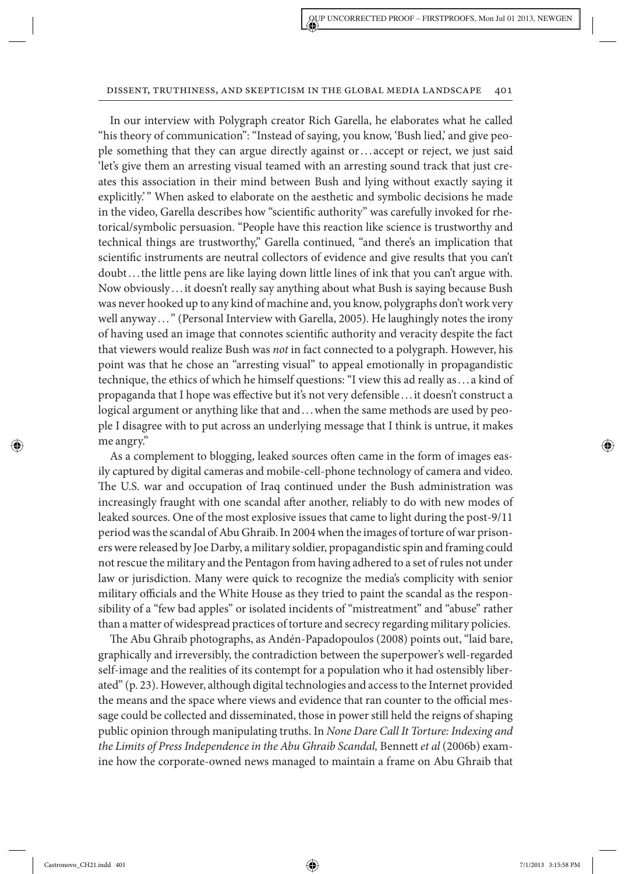In our interview with Polygraph creator Rich Garella, he elaborates what he called "his theory of communication": "Instead of saying, you know, 'Bush lied,' and give people something that they can argue directly against or . . . accept or reject, we just said 'let's give them an arresting visual teamed with an arresting sound track that just creates this association in their mind between Bush and lying without exactly saying it explicitly.' " When asked to elaborate on the aesthetic and symbolic decisions he made in the video, Garella describes how "scientific authority" was carefully invoked for rhetorical/symbolic persuasion. "People have this reaction like science is trustworthy and technical things are trustworthy," Garella continued, "and there's an implication that scientific instruments are neutral collectors of evidence and give results that you can't doubt . . . the little pens are like laying down little lines of ink that you can't argue with. Now obviously . . . it doesn't really say anything about what Bush is saying because Bush was never hooked up to any kind of machine and, you know, polygraphs don't work very well anyway . . . " (Personal Interview with Garella, 2005). He laughingly notes the irony of having used an image that connotes scientific authority and veracity despite the fact that viewers would realize Bush was *not* in fact connected to a polygraph. However, his point was that he chose an "arresting visual" to appeal emotionally in propagandistic technique, the ethics of which he himself questions: "I view this ad really as . . . a kind of propaganda that I hope was effective but it's not very defensible ... it doesn't construct a logical argument or anything like that and ... when the same methods are used by people I disagree with to put across an underlying message that I think is untrue, it makes me angry."

As a complement to blogging, leaked sources often came in the form of images easily captured by digital cameras and mobile-cell-phone technology of camera and video. The U.S. war and occupation of Iraq continued under the Bush administration was increasingly fraught with one scandal after another, reliably to do with new modes of leaked sources. One of the most explosive issues that came to light during the post-9/11 period was the scandal of Abu Ghraib. In 2004 when the images of torture of war prisoners were released by Joe Darby, a military soldier, propagandistic spin and framing could not rescue the military and the Pentagon from having adhered to a set of rules not under law or jurisdiction. Many were quick to recognize the media's complicity with senior military officials and the White House as they tried to paint the scandal as the responsibility of a "few bad apples" or isolated incidents of "mistreatment" and "abuse" rather than a matter of widespread practices of torture and secrecy regarding military policies.

The Abu Ghraib photographs, as Andén-Papadopoulos (2008) points out, "laid bare, graphically and irreversibly, the contradiction between the superpower's well-regarded self-image and the realities of its contempt for a population who it had ostensibly liberated" (p. 23). However, although digital technologies and access to the Internet provided the means and the space where views and evidence that ran counter to the official message could be collected and disseminated, those in power still held the reigns of shaping public opinion through manipulating truths. In *None Dare Call It Torture: Indexing and the Limits of Press Independence in the Abu Ghraib Scandal,* Bennett *et al* (2006b) examine how the corporate-owned news managed to maintain a frame on Abu Ghraib that

 $\bigoplus$  astronovo\_CH21.indd 401  $\bigoplus$  7/1/2013 3:15:58 PM /1/2013 115:58 PM

⊕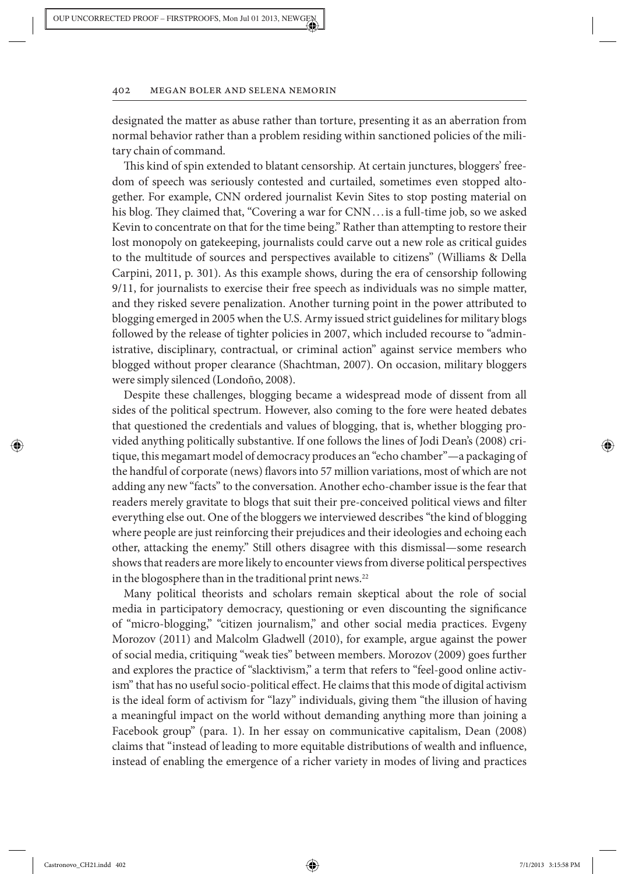designated the matter as abuse rather than torture, presenting it as an aberration from normal behavior rather than a problem residing within sanctioned policies of the military chain of command.

This kind of spin extended to blatant censorship. At certain junctures, bloggers' freedom of speech was seriously contested and curtailed, sometimes even stopped altogether. For example, CNN ordered journalist Kevin Sites to stop posting material on his blog. They claimed that, "Covering a war for CNN... is a full-time job, so we asked Kevin to concentrate on that for the time being." Rather than attempting to restore their lost monopoly on gatekeeping, journalists could carve out a new role as critical guides to the multitude of sources and perspectives available to citizens" ( Williams & Della Carpini, 2011, p. 301). As this example shows, during the era of censorship following 9/11, for journalists to exercise their free speech as individuals was no simple matter, and they risked severe penalization. Another turning point in the power attributed to blogging emerged in 2005 when the U.S. Army issued strict guidelines for military blogs followed by the release of tighter policies in 2007, which included recourse to "administrative, disciplinary, contractual, or criminal action" against service members who blogged without proper clearance (Shachtman, 2007). On occasion, military bloggers were simply silenced (Londoño, 2008).

 Despite these challenges, blogging became a widespread mode of dissent from all sides of the political spectrum. However, also coming to the fore were heated debates that questioned the credentials and values of blogging, that is, whether blogging provided anything politically substantive. If one follows the lines of Jodi Dean's (2008) critique, this megamart model of democracy produces an "echo chamber"—a packaging of the handful of corporate (news) flavors into 57 million variations, most of which are not adding any new "facts" to the conversation. Another echo-chamber issue is the fear that readers merely gravitate to blogs that suit their pre-conceived political views and filter everything else out. One of the bloggers we interviewed describes "the kind of blogging where people are just reinforcing their prejudices and their ideologies and echoing each other, attacking the enemy." Still others disagree with this dismissal—some research shows that readers are more likely to encounter views from diverse political perspectives in the blogosphere than in the traditional print news. 22

 Many political theorists and scholars remain skeptical about the role of social media in participatory democracy, questioning or even discounting the significance of "micro-blogging," "citizen journalism," and other social media practices. Evgeny Morozov (2011) and Malcolm Gladwell (2010) , for example, argue against the power of social media, critiquing "weak ties" between members. Morozov (2009) goes further and explores the practice of "slacktivism," a term that refers to "feel-good online activism" that has no useful socio-political effect. He claims that this mode of digital activism is the ideal form of activism for "lazy" individuals, giving them "the illusion of having a meaningful impact on the world without demanding anything more than joining a Facebook group" (para. 1). In her essay on communicative capitalism, Dean (2008) claims that "instead of leading to more equitable distributions of wealth and influence, instead of enabling the emergence of a richer variety in modes of living and practices

⊕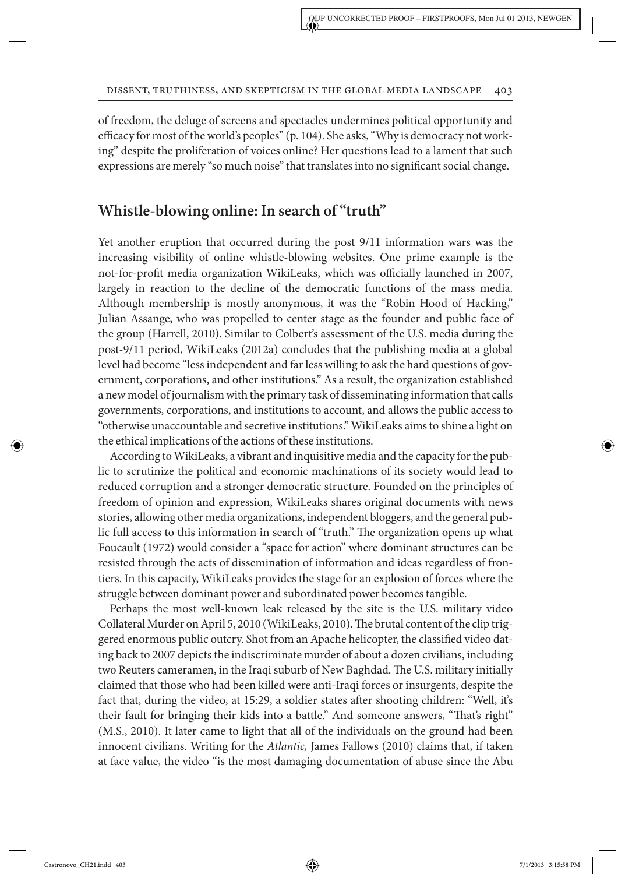of freedom, the deluge of screens and spectacles undermines political opportunity and efficacy for most of the world's peoples" (p. 104). She asks, "Why is democracy not working" despite the proliferation of voices online? Her questions lead to a lament that such expressions are merely "so much noise" that translates into no significant social change.

### **Whistle-blowing online: In search of "truth"**

 Yet another eruption that occurred during the post 9/11 information wars was the increasing visibility of online whistle-blowing websites. One prime example is the not-for-profit media organization WikiLeaks, which was officially launched in 2007, largely in reaction to the decline of the democratic functions of the mass media. Although membership is mostly anonymous, it was the "Robin Hood of Hacking," Julian Assange, who was propelled to center stage as the founder and public face of the group ( Harrell, 2010 ). Similar to Colbert's assessment of the U.S. media during the post-9/11 period, WikiLeaks (2012a) concludes that the publishing media at a global level had become "less independent and far less willing to ask the hard questions of government, corporations, and other institutions." As a result, the organization established a new model of journalism with the primary task of disseminating information that calls governments, corporations, and institutions to account, and allows the public access to "otherwise unaccountable and secretive institutions." WikiLeaks aims to shine a light on the ethical implications of the actions of these institutions.

 According to WikiLeaks, a vibrant and inquisitive media and the capacity for the public to scrutinize the political and economic machinations of its society would lead to reduced corruption and a stronger democratic structure. Founded on the principles of freedom of opinion and expression, WikiLeaks shares original documents with news stories, allowing other media organizations, independent bloggers, and the general public full access to this information in search of "truth." The organization opens up what Foucault (1972) would consider a "space for action" where dominant structures can be resisted through the acts of dissemination of information and ideas regardless of frontiers. In this capacity, WikiLeaks provides the stage for an explosion of forces where the struggle between dominant power and subordinated power becomes tangible.

 Perhaps the most well-known leak released by the site is the U.S. military video Collateral Murder on April 5, 2010 (WikiLeaks, 2010). The brutal content of the clip triggered enormous public outcry. Shot from an Apache helicopter, the classified video dating back to 2007 depicts the indiscriminate murder of about a dozen civilians, including two Reuters cameramen, in the Iraqi suburb of New Baghdad. The U.S. military initially claimed that those who had been killed were anti-Iraqi forces or insurgents, despite the fact that, during the video, at 15:29, a soldier states after shooting children: "Well, it's their fault for bringing their kids into a battle." And someone answers, "That's right" (M.S., 2010). It later came to light that all of the individuals on the ground had been innocent civilians. Writing for the *Atlantic,* James Fallows (2010) claims that, if taken at face value, the video "is the most damaging documentation of abuse since the Abu ↔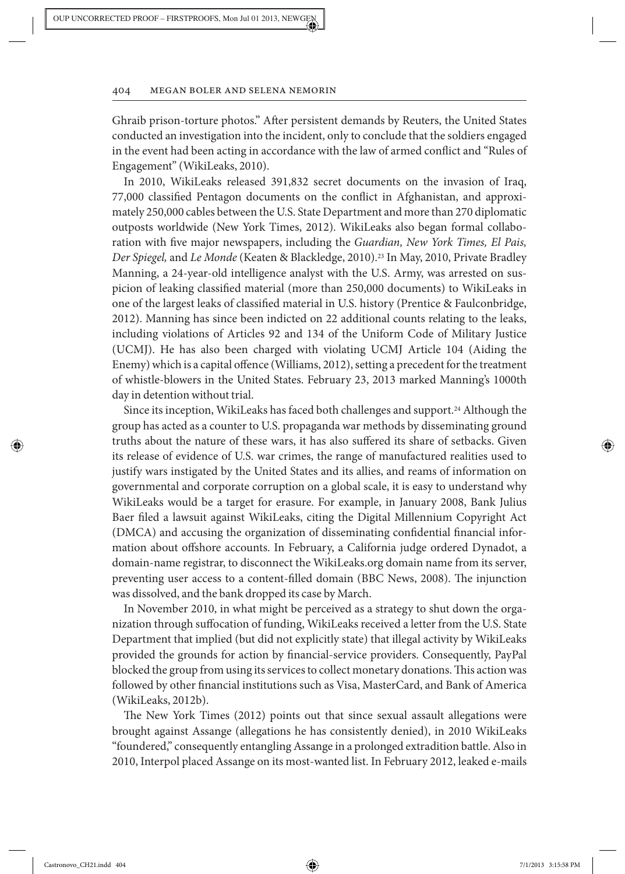Ghraib prison-torture photos." After persistent demands by Reuters, the United States conducted an investigation into the incident, only to conclude that the soldiers engaged in the event had been acting in accordance with the law of armed conflict and "Rules of Engagement" (WikiLeaks, 2010).

 In 2010, WikiLeaks released 391,832 secret documents on the invasion of Iraq, 77,000 classified Pentagon documents on the conflict in Afghanistan, and approximately 250,000 cables between the U.S. State Department and more than 270 diplomatic outposts worldwide ( New York Times, 2012 ). WikiLeaks also began formal collaboration with five major newspapers, including the *Guardian, New York Times, El Pais, Der Spiegel,* and *Le Monde* ( Keaten & Blackledge, 2010 ). 23 In May, 2010, Private Bradley Manning, a 24-year-old intelligence analyst with the U.S. Army, was arrested on suspicion of leaking classified material (more than 250,000 documents) to WikiLeaks in one of the largest leaks of classified material in U.S. history (Prentice & Faulconbridge, 2012 ). Manning has since been indicted on 22 additional counts relating to the leaks, including violations of Articles 92 and 134 of the Uniform Code of Military Justice (UCMJ). He has also been charged with violating UCMJ Article 104 (Aiding the Enemy) which is a capital offence (Williams, 2012), setting a precedent for the treatment of whistle-blowers in the United States. February 23, 2013 marked Manning's 1000th day in detention without trial.

 Since its inception, WikiLeaks has faced both challenges and support. 24 Although the group has acted as a counter to U.S. propaganda war methods by disseminating ground truths about the nature of these wars, it has also suffered its share of setbacks. Given its release of evidence of U.S. war crimes, the range of manufactured realities used to justify wars instigated by the United States and its allies, and reams of information on governmental and corporate corruption on a global scale, it is easy to understand why WikiLeaks would be a target for erasure. For example, in January 2008, Bank Julius Baer filed a lawsuit against WikiLeaks, citing the Digital Millennium Copyright Act (DMCA) and accusing the organization of disseminating confidential financial information about offshore accounts. In February, a California judge ordered Dynadot, a domain-name registrar, to disconnect the WikiLeaks.org domain name from its server, preventing user access to a content-filled domain (BBC News, 2008). The injunction was dissolved, and the bank dropped its case by March.

 In November 2010, in what might be perceived as a strategy to shut down the organization through suffocation of funding, WikiLeaks received a letter from the U.S. State Department that implied (but did not explicitly state) that illegal activity by WikiLeaks provided the grounds for action by financial-service providers. Consequently, PayPal blocked the group from using its services to collect monetary donations. This action was followed by other financial institutions such as Visa, MasterCard, and Bank of America ( WikiLeaks, 2012b).

The New York Times (2012) points out that since sexual assault allegations were brought against Assange (allegations he has consistently denied), in 2010 WikiLeaks "foundered," consequently entangling Assange in a prolonged extradition battle. Also in 2010, Interpol placed Assange on its most-wanted list. In February 2012, leaked e-mails ↔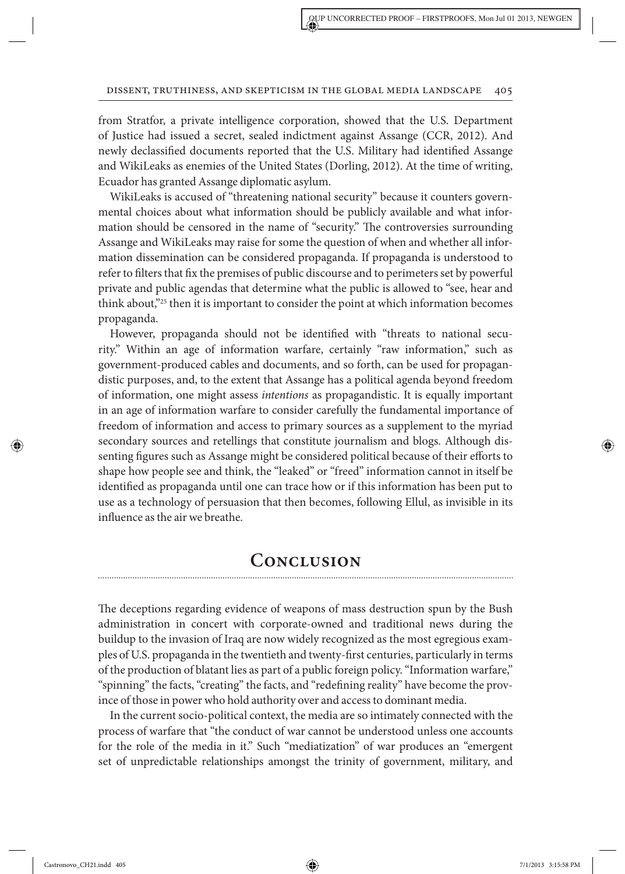from Stratfor, a private intelligence corporation, showed that the U.S. Department of Justice had issued a secret, sealed indictment against Assange ( CCR, 2012 ). And newly declassified documents reported that the U.S. Military had identified Assange and WikiLeaks as enemies of the United States ( Dorling, 2012 ). At the time of writing, Ecuador has granted Assange diplomatic asylum.

 WikiLeaks is accused of "threatening national security" because it counters governmental choices about what information should be publicly available and what information should be censored in the name of "security." The controversies surrounding Assange and WikiLeaks may raise for some the question of when and whether all information dissemination can be considered propaganda. If propaganda is understood to refer to filters that fix the premises of public discourse and to perimeters set by powerful private and public agendas that determine what the public is allowed to "see, hear and think about, $\frac{35}{25}$  then it is important to consider the point at which information becomes propaganda.

However, propaganda should not be identified with "threats to national security." Within an age of information warfare, certainly "raw information," such as government-produced cables and documents, and so forth, can be used for propagandistic purposes, and, to the extent that Assange has a political agenda beyond freedom of information, one might assess *intentions* as propagandistic. It is equally important in an age of information warfare to consider carefully the fundamental importance of freedom of information and access to primary sources as a supplement to the myriad secondary sources and retellings that constitute journalism and blogs. Although dissenting figures such as Assange might be considered political because of their efforts to shape how people see and think, the "leaked" or "freed" information cannot in itself be identified as propaganda until one can trace how or if this information has been put to use as a technology of persuasion that then becomes, following Ellul, as invisible in its influence as the air we breathe.

## **Conclusion**

The deceptions regarding evidence of weapons of mass destruction spun by the Bush administration in concert with corporate-owned and traditional news during the buildup to the invasion of Iraq are now widely recognized as the most egregious examples of U.S. propaganda in the twentieth and twenty-first centuries, particularly in terms of the production of blatant lies as part of a public foreign policy. "Information warfare," "spinning" the facts, "creating" the facts, and "redefining reality" have become the province of those in power who hold authority over and access to dominant media.

 In the current socio-political context, the media are so intimately connected with the process of warfare that "the conduct of war cannot be understood unless one accounts for the role of the media in it." Such "mediatization" of war produces an "emergent set of unpredictable relationships amongst the trinity of government, military, and

 $\bigoplus$  astronovo\_CH21.indd 405 7/1/2013 3:15:58 PM /1/2013 3:15:58 PM /1/2013 3:15:58 PM /1/2013 11/3013 9:15:58 PM /1/2013 11:58 PM /1/2013 11:58 PM /1/2013 11:58 PM /1/2013 11:58 PM /1/2013 11:58 PM /1/2013 11:58 PM /1/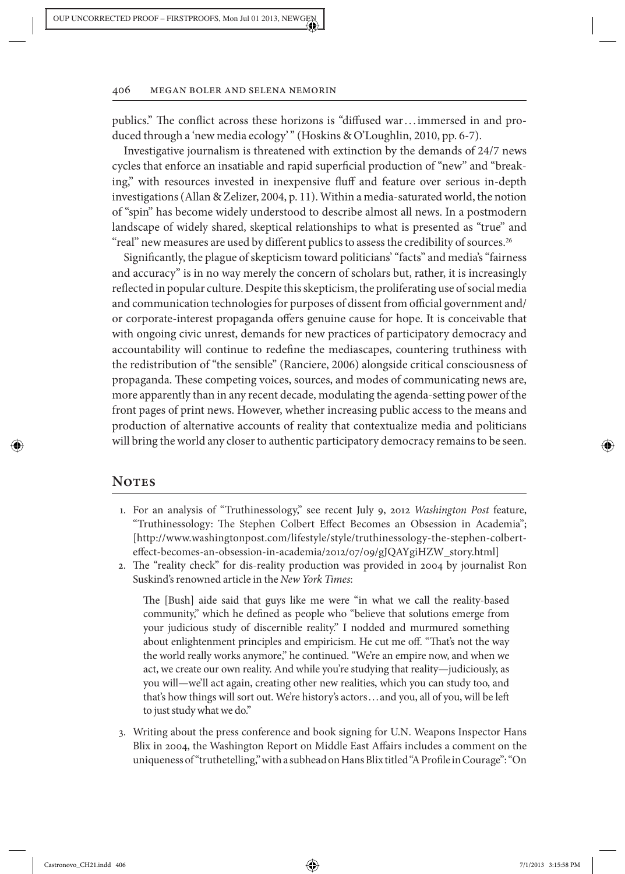publics." The conflict across these horizons is "diffused war... immersed in and produced through a 'new media ecology'" (Hoskins & O'Loughlin, 2010, pp. 6-7).

 Investigative journalism is threatened with extinction by the demands of 24/7 news cycles that enforce an insatiable and rapid superficial production of "new" and "breaking," with resources invested in inexpensive fluff and feature over serious in-depth investigations (Allan & Zelizer, 2004, p. 11). Within a media-saturated world, the notion of "spin" has become widely understood to describe almost all news. In a postmodern landscape of widely shared, skeptical relationships to what is presented as "true" and "real" new measures are used by different publics to assess the credibility of sources. $^{26}$ 

Significantly, the plague of skepticism toward politicians' "facts" and media's "fairness and accuracy" is in no way merely the concern of scholars but, rather, it is increasingly reflected in popular culture. Despite this skepticism, the proliferating use of social media and communication technologies for purposes of dissent from official government and/ or corporate-interest propaganda offers genuine cause for hope. It is conceivable that with ongoing civic unrest, demands for new practices of participatory democracy and accountability will continue to redefine the mediascapes, countering truthiness with the redistribution of "the sensible" ( Ranciere, 2006 ) alongside critical consciousness of propaganda. These competing voices, sources, and modes of communicating news are, more apparently than in any recent decade, modulating the agenda-setting power of the front pages of print news. However, whether increasing public access to the means and production of alternative accounts of reality that contextualize media and politicians will bring the world any closer to authentic participatory democracy remains to be seen.

#### **Notes**

⊕

- 1 . For an analysis of "Truthinessology," see recent July 9, 2012 *Washington Post* feature, "Truthinessology: The Stephen Colbert Effect Becomes an Obsession in Academia"; [ http://www.washingtonpost.com/lifestyle/style/truthinessology-the-stephen-colberteffect-becomes-an-obsession-in-academia/2012/07/09/gJQAYgiHZW\_story.html
- 2. The "reality check" for dis-reality production was provided in 2004 by journalist Ron Suskind's renowned article in the *New York Times* :

The [Bush] aide said that guys like me were "in what we call the reality-based community," which he defined as people who "believe that solutions emerge from your judicious study of discernible reality." I nodded and murmured something about enlightenment principles and empiricism. He cut me off. "That's not the way the world really works anymore," he continued. "We're an empire now, and when we act, we create our own reality. And while you're studying that reality—judiciously, as you will—we'll act again, creating other new realities, which you can study too, and that's how things will sort out. We're history's actors . . . and you, all of you, will be left to just study what we do."

 3 . Writing about the press conference and book signing for U.N. Weapons Inspector Hans Blix in 2004, the Washington Report on Middle East Affairs includes a comment on the uniqueness of "truthetelling," with a subhead on Hans Blix titled "A Profile in Courage": "On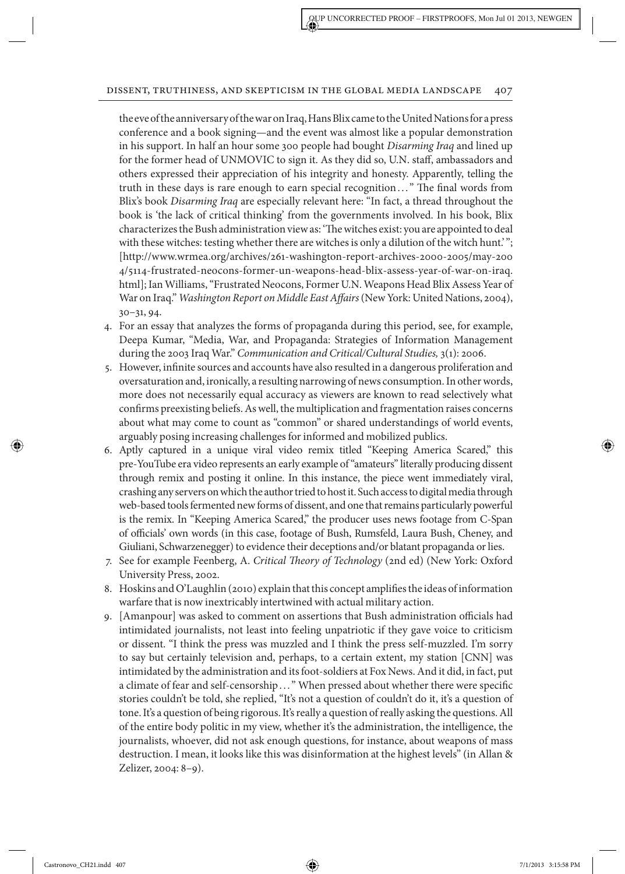the eve of the anniversary of the war on Iraq, Hans Blix came to the United Nations for a press conference and a book signing—and the event was almost like a popular demonstration in his support. In half an hour some 300 people had bought *Disarming Iraq* and lined up for the former head of UNMOVIC to sign it. As they did so, U.N. staff, ambassadors and others expressed their appreciation of his integrity and honesty. Apparently, telling the truth in these days is rare enough to earn special recognition ..." The final words from Blix's book *Disarming Iraq* are especially relevant here: "In fact, a thread throughout the book is 'the lack of critical thinking' from the governments involved. In his book, Blix characterizes the Bush administration view as: 'The witches exist: you are appointed to deal with these witches: testing whether there are witches is only a dilution of the witch hunt."; [ http://www.wrmea.org/archives/261-washington-report-archives-2000-2005/may-200 4/5114-frustrated-neocons-former-un-weapons-head-blix-assess-year-of-war-on-iraq. html]; Ian Williams, "Frustrated Neocons, Former U.N. Weapons Head Blix Assess Year of War on Iraq." *Washington Report on Middle East Affairs* (New York: United Nations, 2004),  $30 - 31, 94.$ 

- 4 . For an essay that analyzes the forms of propaganda during this period, see, for example, Deepa Kumar, "Media, War, and Propaganda: Strategies of Information Management during the 2003 Iraq War." *Communication and Critical/Cultural Studies,* 3(1): 2006.
- 5. However, infinite sources and accounts have also resulted in a dangerous proliferation and oversaturation and, ironically, a resulting narrowing of news consumption. In other words, more does not necessarily equal accuracy as viewers are known to read selectively what confirms preexisting beliefs. As well, the multiplication and fragmentation raises concerns about what may come to count as "common" or shared understandings of world events, arguably posing increasing challenges for informed and mobilized publics.
- 6 . Aptly captured in a unique viral video remix titled "Keeping America Scared," this pre-YouTube era video represents an early example of "amateurs" literally producing dissent through remix and posting it online. In this instance, the piece went immediately viral, crashing any servers on which the author tried to host it. Such access to digital media through web-based tools fermented new forms of dissent, and one that remains particularly powerful is the remix. In "Keeping America Scared," the producer uses news footage from C-Span of officials' own words (in this case, footage of Bush, Rumsfeld, Laura Bush, Cheney, and Giuliani, Schwarzenegger) to evidence their deceptions and/or blatant propaganda or lies.
- 7. See for example Feenberg, A. *Critical Theory of Technology* (2nd ed) (New York: Oxford University Press, 2002 .
- 8. Hoskins and O'Laughlin (2010) explain that this concept amplifies the ideas of information warfare that is now inextricably intertwined with actual military action.
- 9. [Amanpour] was asked to comment on assertions that Bush administration officials had intimidated journalists, not least into feeling unpatriotic if they gave voice to criticism or dissent. "I think the press was muzzled and I think the press self-muzzled. I'm sorry to say but certainly television and, perhaps, to a certain extent, my station [CNN] was intimidated by the administration and its foot-soldiers at Fox News. And it did, in fact, put a climate of fear and self-censorship ..." When pressed about whether there were specific stories couldn't be told, she replied, "It's not a question of couldn't do it, it's a question of tone. It's a question of being rigorous. It's really a question of really asking the questions. All of the entire body politic in my view, whether it's the administration, the intelligence, the journalists, whoever, did not ask enough questions, for instance, about weapons of mass destruction. I mean, it looks like this was disinformation at the highest levels" (in Allan & Zelizer, 2004: 8–9).

 $\bigoplus$  astronovo\_CH21.indd 407 7/1/2013 3:15:58 PM /1/2013 3:15:58 PM /1/2013 3:15:58 PM /1/2013 11/3013 9:15:58 PM /1/2013 11/3013 9:15:58 PM /1/2013 11/3013 11/3013 11/3013 11/3013 11/3013 11/3013 11/3013 11/3013 11/301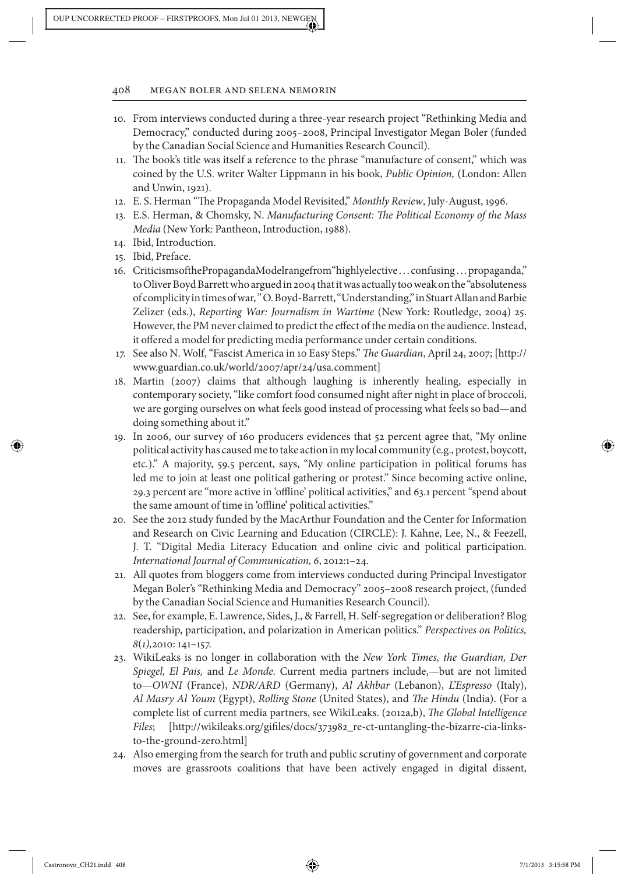- 10 . From interviews conducted during a three-year research project "Rethinking Media and Democracy," conducted during 2005–2008, Principal Investigator Megan Boler (funded by the Canadian Social Science and Humanities Research Council).
- 11. The book's title was itself a reference to the phrase "manufacture of consent," which was coined by the U.S. writer Walter Lippmann in his book, *Public Opinion,* (London: Allen and Unwin, 1921).
- 12. E. S. Herman "The Propaganda Model Revisited," Monthly Review, July-August, 1996.
- 13. E.S. Herman, & Chomsky, N. *Manufacturing Consent: The Political Economy of the Mass Media* (New York: Pantheon, Introduction, 1988).
- 14. Ibid, Introduction.
- 15. Ibid, Preface.
- 16 . Criticisms of the Propaganda Model range from "highly elective . . . confusing . . . propaganda," to Oliver Boyd Barrett who argued in 2004 that it was actually too weak on the "absoluteness of complicity in times of war," O. Boyd-Barrett, "Understanding," in Stuart Allan and Barbie Zelizer (eds.), *Reporting War: Journalism in Wartime* (New York: Routledge, 2004) 25. However, the PM never claimed to predict the effect of the media on the audience. Instead, it offered a model for predicting media performance under certain conditions.
- 17 . See also N. Wolf , " Fascist America in 10 Easy Steps ." *Th e Guardian* , April 24, 2007; [ http:// www.guardian.co.uk/world/2007/apr/24/usa.comment ]
- 18 . Martin (2007) claims that although laughing is inherently healing, especially in contemporary society, "like comfort food consumed night after night in place of broccoli, we are gorging ourselves on what feels good instead of processing what feels so bad—and doing something about it."
- 19 . In 2006, our survey of 160 producers evidences that 52 percent agree that, "My online political activity has caused me to take action in my local community (e.g., protest, boycott, etc.)." A majority, 59.5 percent, says, "My online participation in political forums has led me to join at least one political gathering or protest." Since becoming active online, 29.3 percent are "more active in 'offl ine' political activities," and 63.1 percent "spend about the same amount of time in 'offline' political activities."
- 20 . See the 2012 study funded by the MacArthur Foundation and the Center for Information and Research on Civic Learning and Education (CIRCLE): J. Kahne, Lee, N., & Feezell, J. T. " Digital Media Literacy Education and online civic and political participation .  *International Journal of Communication , 6* , 2012: 1–24 .
- 21 . All quotes from bloggers come from interviews conducted during Principal Investigator Megan Boler's "Rethinking Media and Democracy" 2005–2008 research project, (funded by the Canadian Social Science and Humanities Research Council).
- 22. See, for example, E. Lawrence, Sides, J., & Farrell, H. Self-segregation or deliberation? Blog readership, participation, and polarization in American politics ." *Perspectives on Politics , 8* ( *1),* 2010: 141–157 .
- 23 . WikiLeaks is no longer in collaboration with the *New York Times, the Guardian, Der Spiegel, El Pais,* and *Le Monde.* Current media partners include,—but are not limited to— *OWNI* (France), *NDR/ARD* (Germany), *Al Akhbar* (Lebanon), *L'Espresso* (Italy), *Al Masry Al Youm (Egypt), Rolling Stone (United States), and <i>The Hindu (India). (For a* complete list of current media partners, see WikiLeaks. (2012a,b), *The Global Intelligence* Files; [http://wikileaks.org/gifiles/docs/373982\_re-ct-untangling-the-bizarre-cia-linksto-the-ground-zero.html ]
- 24 . Also emerging from the search for truth and public scrutiny of government and corporate moves are grassroots coalitions that have been actively engaged in digital dissent,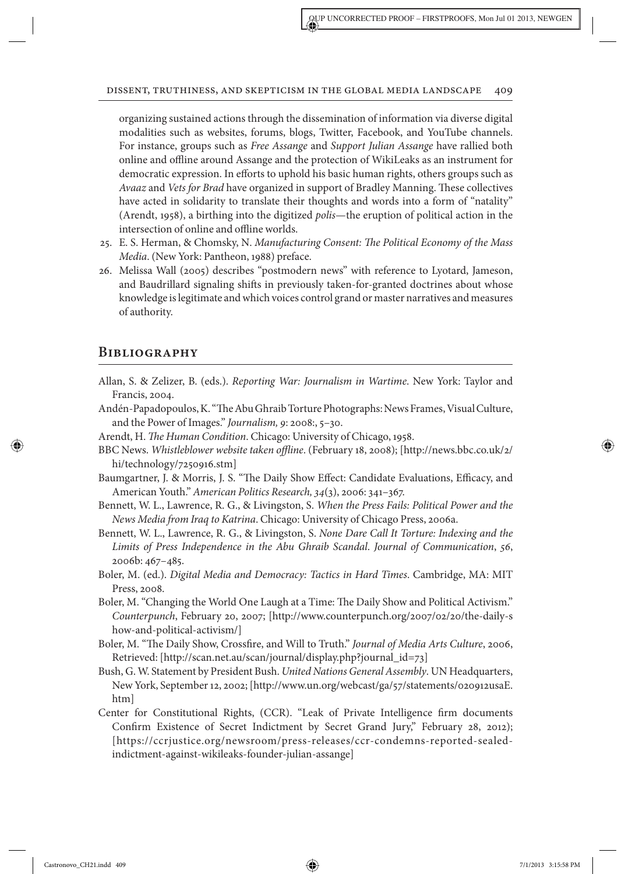organizing sustained actions through the dissemination of information via diverse digital modalities such as websites, forums, blogs, Twitter, Facebook, and YouTube channels. For instance, groups such as *Free Assange* and *Support Julian Assange* have rallied both online and offline around Assange and the protection of WikiLeaks as an instrument for democratic expression. In efforts to uphold his basic human rights, others groups such as Avaaz and Vets for Brad have organized in support of Bradley Manning. These collectives have acted in solidarity to translate their thoughts and words into a form of "natality" ( Arendt, 1958 ), a birthing into the digitized *polis* —the eruption of political action in the intersection of online and offline worlds.

- 25. E. S. Herman, & Chomsky, N. *Manufacturing Consent: The Political Economy of the Mass Media*. (New York: Pantheon, 1988) preface.
- 26 . Melissa Wall (2005) describes "postmodern news" with reference to Lyotard, Jameson, and Baudrillard signaling shifts in previously taken-for-granted doctrines about whose knowledge is legitimate and which voices control grand or master narratives and measures of authority.

#### **Bibliography**

- Allan , S. & Zelizer , B. (eds.). *Reporting War: Journalism in Wartime* . New York : Taylor and Francis, 2004.
- Andén-Papadopoulos, K. "The Abu Ghraib Torture Photographs: News Frames, Visual Culture, and the Power of Images." *Journalism*, 9: 2008:, 5-30.
- Arendt, H. *The Human Condition*. Chicago: University of Chicago, 1958.
- BBC News. *Whistleblower website taken offline*. (February 18, 2008); [http://news.bbc.co.uk/2/ hi/technology/7250916.stm]
- Baumgartner, J. & Morris, J. S. "The Daily Show Effect: Candidate Evaluations, Efficacy, and American Youth." *American Politics Research*, 34(3), 2006: 341–367.
- Bennett, W. L., Lawrence, R. G., & Livingston, S. When the Press Fails: Political Power and the *News Media from Iraq to Katrina* . Chicago : University of Chicago Press, 2006a .
- Bennett, W. L., Lawrence, R. G., & Livingston, S. *None Dare Call It Torture: Indexing and the Limits of Press Independence in the Abu Ghraib Scandal* . *Journal of Communication* , *56* , 2006b: 467–485 .
- Boler, M. (ed.). *Digital Media and Democracy: Tactics in Hard Times*. Cambridge, MA: MIT Press, 2008.
- Boler, M. "Changing the World One Laugh at a Time: The Daily Show and Political Activism." *Counterpunch* , February 20, 2007 ; [ http://www.counterpunch.org/2007/02/20/the-daily-s how-and-political-activism/ ]
- Boler, M. "The Daily Show, Crossfire, and Will to Truth." *Journal of Media Arts Culture*, 2006, Retrieved: [ http://scan.net.au/scan/journal/display.php?journal\_id=73 ]
- Bush , G. W. Statement by President Bush . *United Nations General Assembly* . UN Headquarters, New York, September 12, 2002; [ http://www.un.org/webcast/ga/57/statements/020912usaE. htm]
- Center for Constitutional Rights, (CCR). "Leak of Private Intelligence firm documents Confirm Existence of Secret Indictment by Secret Grand Jury," February 28, 2012); [ https://ccrjustice.org/newsroom/press-releases/ccr-condemns-reported-sealedindictment-against-wikileaks-founder-julian-assange ]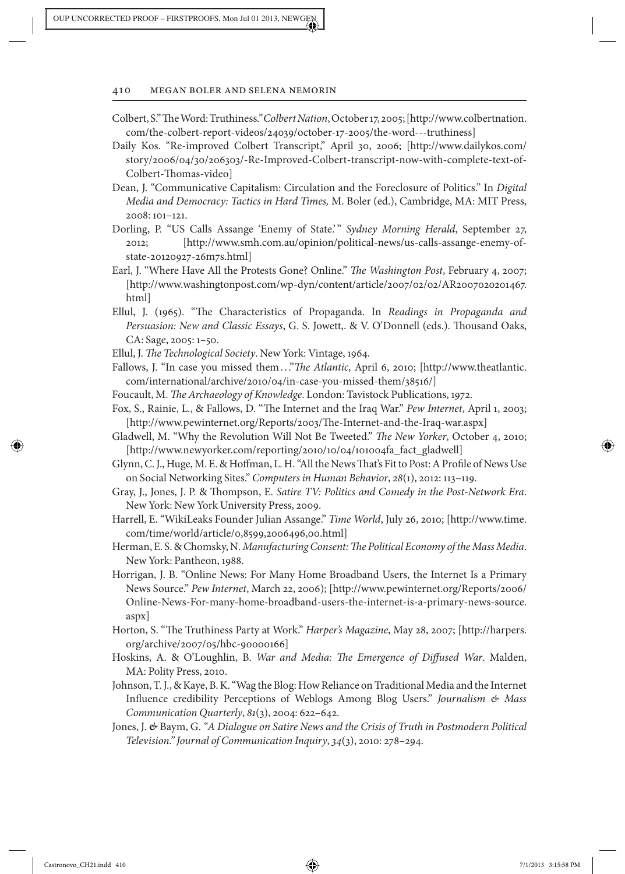- Colbert, S." The Word: Truthiness." *Colbert Nation*, October 17, 2005; [http://www.colbertnation. com/the-colbert-report-videos/24039/october-17-2005/the-word---truthiness ]
- Daily Kos. "Re-improved Colbert Transcript," April 30, 2006; [http://www.dailykos.com/ story/2006/04/30/206303/-Re-Improved-Colbert-transcript-now-with-complete-text-of-Colbert-Thomas-video]
- Dean , J. "Communicative Capitalism: Circulation and the Foreclosure of Politics." In *Digital Media and Democracy: Tactics in Hard Times, M. Boler (ed.), Cambridge, MA: MIT Press,* 2008: 101-121.
- Dorling , P. " US Calls Assange 'Enemy of State.' " *Sydney Morning Herald* , September 27, 2012 ; [ http://www.smh.com.au/opinion/political-news/us-calls-assange-enemy-ofstate-20120927-26m7s.html ]
- Earl, J. "Where Have All the Protests Gone? Online." *The Washington Post*, February 4, 2007; [ http://www.washingtonpost.com/wp-dyn/content/article/2007/02/02/AR2007020201467. html]
- Ellul, J. (1965). "The Characteristics of Propaganda. In *Readings in Propaganda and Persuasion: New and Classic Essays, G. S. Jowett,. & V. O'Donnell (eds.). Thousand Oaks,* CA: Sage, 2005: 1-50.
- Ellul, J. *The Technological Society*. New York: Vintage, 1964.
- Fallows, J. "In case you missed them ..." *The Atlantic*, April 6, 2010; [http://www.theatlantic. com/international/archive/2010/04/in-case-you-missed-them/38516/ ]
- Foucault, M. *The Archaeology of Knowledge*. London: Tavistock Publications, 1972.
- Fox, S., Rainie, L., & Fallows, D. "The Internet and the Iraq War." Pew Internet, April 1, 2003; [http://www.pewinternet.org/Reports/2003/The-Internet-and-the-Iraq-war.aspx]
- Gladwell, M. "Why the Revolution Will Not Be Tweeted." *The New Yorker*, October 4, 2010; [http://www.newyorker.com/reporting/2010/10/04/101004fa\_fact\_gladwell]
- Glynn, C. J., Huge, M. E. & Hoffman, L. H. "All the News That's Fit to Post: A Profile of News Use on Social Networking Sites." *Computers in Human Behavior* , *28* ( 1 ), 2012 : 113–119 .
- Gray, J., Jones, J. P. & Thompson, E. *Satire TV: Politics and Comedy in the Post-Network Era*. New York : New York University Press, 2009 .
- Harrell, E. "WikiLeaks Founder Julian Assange." *Time World*, July 26, 2010; [http://www.time. com/time/world/article/0,8599,2006496,00.html ]
- Herman, E. S. & Chomsky, N. *Manufacturing Consent: The Political Economy of the Mass Media*. New York: Pantheon, 1988.
- Horrigan, J. B. "Online News: For Many Home Broadband Users, the Internet Is a Primary News Source ." *Pew Internet* , March 22, 2006 ); [ http://www.pewinternet.org/Reports/2006/ Online-News-For-many-home-broadband-users-the-internet-is-a-primary-news-source. aspx ]
- Horton, S. "The Truthiness Party at Work." *Harper's Magazine*, May 28, 2007; [http://harpers. org/archive/2007/05/hbc-90000166 ]
- Hoskins, A. & O'Loughlin, B. *War and Media: The Emergence of Diffused War*. Malden, MA: Polity Press, 2010.
- Johnson, T. J., & Kaye, B. K. "Wag the Blog: How Reliance on Traditional Media and the Internet Influence credibility Perceptions of Weblogs Among Blog Users." *Journalism & Mass Communication Quarterly*,  $81(3)$ , 2004: 622-642.
- Jones , J. *&* Baym , G. *"A Dialogue on Satire News and the Crisis of Truth in Postmodern Political Television." Journal of Communication Inquiry* , *34* ( 3 ), 2010 : 278–294 .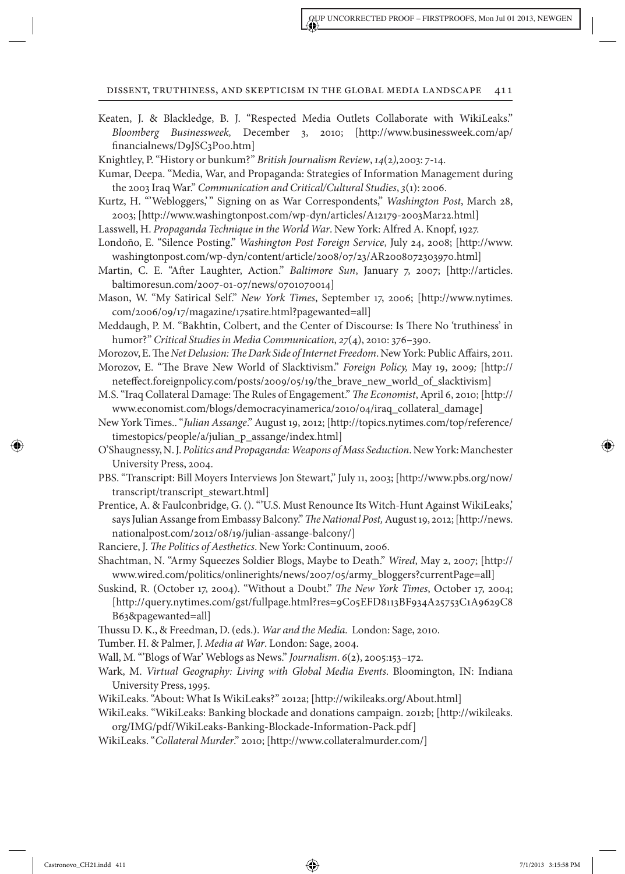- Keaten, J. & Blackledge, B. J. "Respected Media Outlets Collaborate with WikiLeaks." Bloomberg Businessweek, December 3, 2010; [http://www.businessweek.com/ap/ financialnews/D9JSC3Poo.htm]
- Knightley, P. "History or bunkum?" *British Journalism Review*, 14(2), 2003: 7-14.
- Kumar, Deepa. "Media, War, and Propaganda: Strategies of Information Management during the 2003 Iraq War." *Communication and Critical/Cultural Studies*, 3(1): 2006.
- Kurtz, H. "'Webloggers,'" Signing on as War Correspondents," *Washington Post*, March 28, 2003 ; [ http://www.washingtonpost.com/wp-dyn/articles/A12179-2003Mar22.html ]
- Lasswell, H. Propaganda Technique in the World War. New York: Alfred A. Knopf, 1927.
- Londoño, E. "Silence Posting." *Washington Post Foreign Service*, July 24, 2008; [http://www. washingtonpost.com/wp-dyn/content/article/2008/07/23/AR2008072303970.html ]
- Martin, C. E. "After Laughter, Action." *Baltimore Sun*, January 7, 2007; [http://articles. baltimoresun.com/2007-01-07/news/0701070014 ]
- Mason , W. " My Satirical Self ." *New York Times* , September 17, 2006; [ http://www.nytimes. com/2006/09/17/magazine/17satire.html?pagewanted=all]
- Meddaugh, P. M. "Bakhtin, Colbert, and the Center of Discourse: Is There No 'truthiness' in humor?" *Critical Studies in Media Communication*, 27(4), 2010: 376-390.

Morozov, E. The *Net Delusion: The Dark Side of Internet Freedom*. New York: Public Affairs, 2011.

- Morozov, E. "The Brave New World of Slacktivism." *Foreign Policy*, May 19, 2009; [http:// neteffect.foreignpolicy.com/posts/2009/05/19/the\_brave\_new\_world\_of\_slacktivism]
- M.S. "Iraq Collateral Damage: The Rules of Engagement." *The Economist*, April 6, 2010; [http:// www.economist.com/blogs/democracyinamerica/2010/04/iraq\_collateral\_damage ]
- New York Times.. " *Julian Assange* ." August 19, 2012 ; [ http://topics.nytimes.com/top/reference/ timestopics/people/a/julian\_p\_assange/index.html]
- O'Shaugnessy , N. J. *Politics and Propaganda: Weapons of Mass Seduction* . New York : Manchester University Press, 2004.
- PBS. " Transcript: Bill Moyers Interviews Jon Stewart ," July 11, 2003; [ http://www.pbs.org/now/ transcript/transcript\_stewart.html ]
- Prentice , A. & Faulconbridge , G. (). "'U.S. Must Renounce Its Witch-Hunt Against WikiLeaks,' says Julian Assange from Embassy Balcony." *The National Post*, August 19, 2012; [http://news. nationalpost.com/2012/08/19/julian-assange-balcony/ ]
- Ranciere, J. *The Politics of Aesthetics*. New York: Continuum, 2006.
- Shachtman , N. " Army Squeezes Soldier Blogs, Maybe to Death ." *Wired* , May 2, 2007; [ http:// www.wired.com/politics/onlinerights/news/2007/05/army\_bloggers?currentPage=all ]
- Suskind, R. (October 17, 2004). "Without a Doubt." *The New York Times*, October 17, 2004; [ http://query.nytimes.com/gst/fullpage.html?res=9C05EFD8113BF934A25753C1A9629C8 B63&pagewanted=all ]
- Thussu D. K., & Freedman, D. (eds.). *War and the Media*. London: Sage, 2010.
- Tumber. H. & Palmer, J. *Media at War*. London: Sage, 2004.
- Wall, M. "Blogs of War' Weblogs as News." *Journalism*.  $6(2)$ , 2005:153-172.
- Wark, M. *Virtual Geography: Living with Global Media Events*. Bloomington, IN: Indiana University Press, 1995 .
- WikiLeaks. "About: What Is WikiLeaks?" 2012a; [http://wikileaks.org/About.html]
- WikiLeaks. " WikiLeaks: Banking blockade and donations campaign . 2012b; [ http://wikileaks. org/IMG/pdf/WikiLeaks-Banking-Blockade-Information-Pack.pdf ]
- WikiLeaks. "Collateral Murder." 2010; [http://www.collateralmurder.com/]